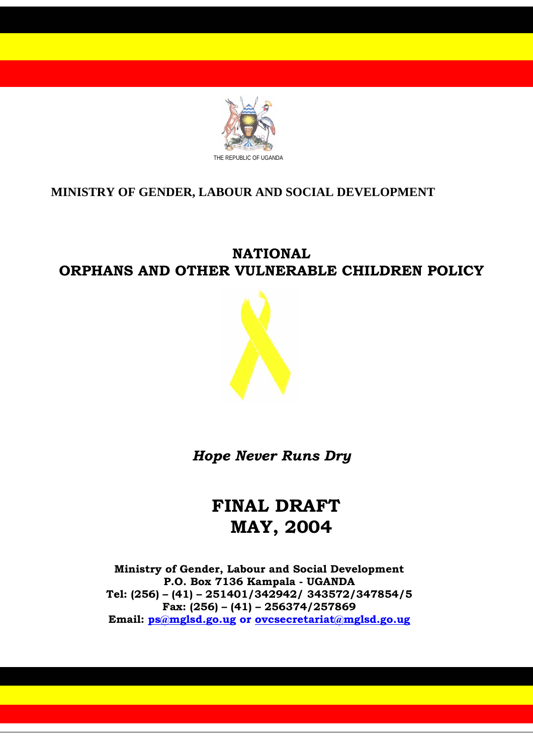

# **MINISTRY OF GENDER, LABOUR AND SOCIAL DEVELOPMENT**

# **NATIONAL ORPHANS AND OTHER VULNERABLE CHILDREN POLICY**



*Hope Never Runs Dry* 

# **FINAL DRAFT MAY, 2004**

**Ministry of Gender, Labour and Social Development P.O. Box 7136 Kampala - UGANDA Tel: (256) – (41) – 251401/342942/ 343572/347854/5 Fax: (256) – (41) – 256374/257869 Email: ps@mglsd.go.ug or ovcsecretariat@mglsd.go.ug**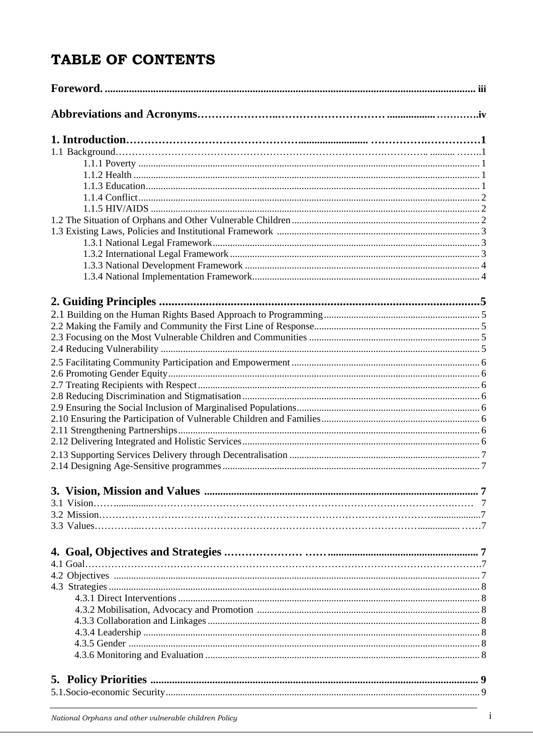# TABLE OF CONTENTS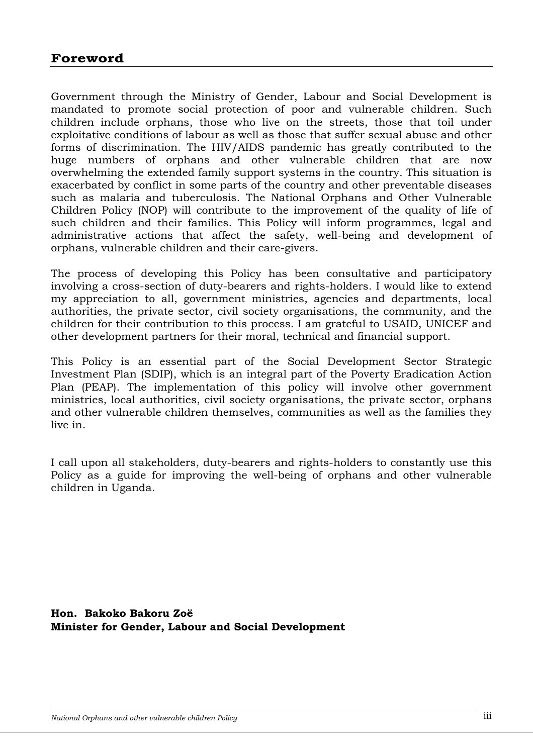Government through the Ministry of Gender, Labour and Social Development is mandated to promote social protection of poor and vulnerable children. Such children include orphans, those who live on the streets, those that toil under exploitative conditions of labour as well as those that suffer sexual abuse and other forms of discrimination. The HIV/AIDS pandemic has greatly contributed to the huge numbers of orphans and other vulnerable children that are now overwhelming the extended family support systems in the country. This situation is exacerbated by conflict in some parts of the country and other preventable diseases such as malaria and tuberculosis. The National Orphans and Other Vulnerable Children Policy (NOP) will contribute to the improvement of the quality of life of such children and their families. This Policy will inform programmes, legal and administrative actions that affect the safety, well-being and development of orphans, vulnerable children and their care-givers.

The process of developing this Policy has been consultative and participatory involving a cross-section of duty-bearers and rights-holders. I would like to extend my appreciation to all, government ministries, agencies and departments, local authorities, the private sector, civil society organisations, the community, and the children for their contribution to this process. I am grateful to USAID, UNICEF and other development partners for their moral, technical and financial support.

This Policy is an essential part of the Social Development Sector Strategic Investment Plan (SDIP), which is an integral part of the Poverty Eradication Action Plan (PEAP). The implementation of this policy will involve other government ministries, local authorities, civil society organisations, the private sector, orphans and other vulnerable children themselves, communities as well as the families they live in.

I call upon all stakeholders, duty-bearers and rights-holders to constantly use this Policy as a guide for improving the well-being of orphans and other vulnerable children in Uganda.

**Hon. Bakoko Bakoru Zoë Minister for Gender, Labour and Social Development**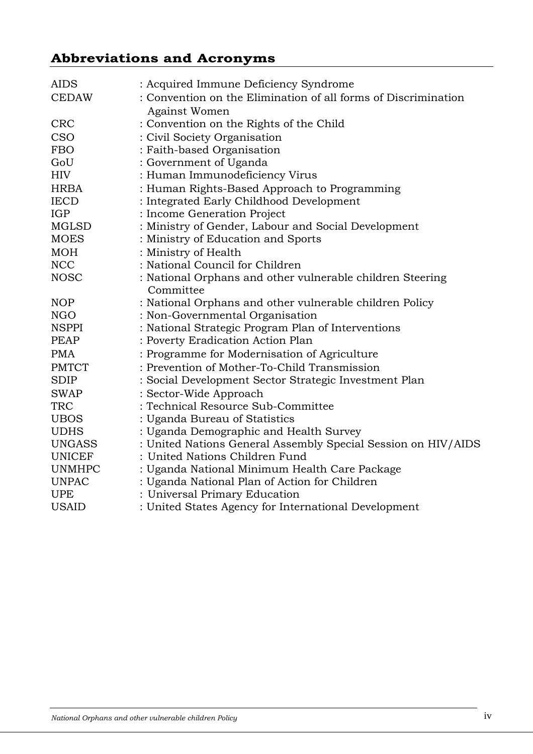# **Abbreviations and Acronyms**

| <b>AIDS</b><br><b>CEDAW</b> | : Acquired Immune Deficiency Syndrome<br>: Convention on the Elimination of all forms of Discrimination<br>Against Women |
|-----------------------------|--------------------------------------------------------------------------------------------------------------------------|
| <b>CRC</b>                  | : Convention on the Rights of the Child                                                                                  |
| CSO                         | : Civil Society Organisation                                                                                             |
| <b>FBO</b>                  | : Faith-based Organisation                                                                                               |
| GoU                         | : Government of Uganda                                                                                                   |
| <b>HIV</b>                  | : Human Immunodeficiency Virus                                                                                           |
| <b>HRBA</b>                 | : Human Rights-Based Approach to Programming                                                                             |
| <b>IECD</b>                 | : Integrated Early Childhood Development                                                                                 |
| <b>IGP</b>                  | : Income Generation Project                                                                                              |
| MGLSD                       | : Ministry of Gender, Labour and Social Development                                                                      |
| <b>MOES</b>                 | : Ministry of Education and Sports                                                                                       |
| <b>MOH</b>                  | : Ministry of Health                                                                                                     |
| <b>NCC</b>                  | : National Council for Children                                                                                          |
| <b>NOSC</b>                 | : National Orphans and other vulnerable children Steering<br>Committee                                                   |
| <b>NOP</b>                  | : National Orphans and other vulnerable children Policy                                                                  |
| <b>NGO</b>                  | : Non-Governmental Organisation                                                                                          |
| <b>NSPPI</b>                | : National Strategic Program Plan of Interventions                                                                       |
| <b>PEAP</b>                 | : Poverty Eradication Action Plan                                                                                        |
| <b>PMA</b>                  | : Programme for Modernisation of Agriculture                                                                             |
| <b>PMTCT</b>                | : Prevention of Mother-To-Child Transmission                                                                             |
| <b>SDIP</b>                 | : Social Development Sector Strategic Investment Plan                                                                    |
| <b>SWAP</b>                 | : Sector-Wide Approach                                                                                                   |
| <b>TRC</b>                  | : Technical Resource Sub-Committee                                                                                       |
| <b>UBOS</b>                 | : Uganda Bureau of Statistics                                                                                            |
| <b>UDHS</b>                 | : Uganda Demographic and Health Survey                                                                                   |
| <b>UNGASS</b>               | : United Nations General Assembly Special Session on HIV/AIDS                                                            |
| <b>UNICEF</b>               | : United Nations Children Fund                                                                                           |
| <b>UNMHPC</b>               | : Uganda National Minimum Health Care Package                                                                            |
| <b>UNPAC</b>                | : Uganda National Plan of Action for Children                                                                            |
| <b>UPE</b>                  | : Universal Primary Education                                                                                            |
| <b>USAID</b>                | : United States Agency for International Development                                                                     |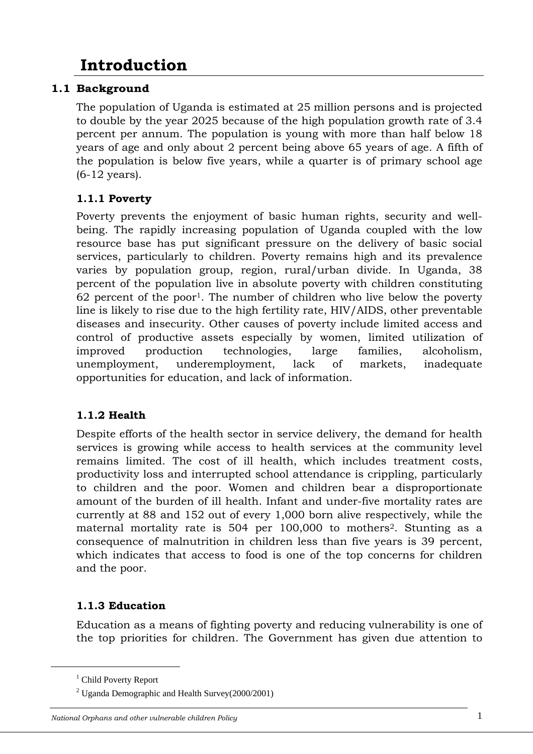# **Introduction**

# **1.1 Background**

The population of Uganda is estimated at 25 million persons and is projected to double by the year 2025 because of the high population growth rate of 3.4 percent per annum. The population is young with more than half below 18 years of age and only about 2 percent being above 65 years of age. A fifth of the population is below five years, while a quarter is of primary school age (6-12 years).

# **1.1.1 Poverty**

Poverty prevents the enjoyment of basic human rights, security and wellbeing. The rapidly increasing population of Uganda coupled with the low resource base has put significant pressure on the delivery of basic social services, particularly to children. Poverty remains high and its prevalence varies by population group, region, rural/urban divide. In Uganda, 38 percent of the population live in absolute poverty with children constituting  $62$  percent of the poor<sup>1</sup>. The number of children who live below the poverty line is likely to rise due to the high fertility rate, HIV/AIDS, other preventable diseases and insecurity. Other causes of poverty include limited access and control of productive assets especially by women, limited utilization of improved production technologies, large families, alcoholism, unemployment, underemployment, lack of markets, inadequate opportunities for education, and lack of information.

# **1.1.2 Health**

Despite efforts of the health sector in service delivery, the demand for health services is growing while access to health services at the community level remains limited. The cost of ill health, which includes treatment costs, productivity loss and interrupted school attendance is crippling, particularly to children and the poor. Women and children bear a disproportionate amount of the burden of ill health. Infant and under-five mortality rates are currently at 88 and 152 out of every 1,000 born alive respectively, while the maternal mortality rate is 504 per 100,000 to mothers<sup>2</sup>. Stunting as a consequence of malnutrition in children less than five years is 39 percent, which indicates that access to food is one of the top concerns for children and the poor.

# **1.1.3 Education**

Education as a means of fighting poverty and reducing vulnerability is one of the top priorities for children. The Government has given due attention to

#### *National Orphans and other vulnerable children Policy* 1

<sup>1&</sup>lt;sup>1</sup> <sup>1</sup> Child Poverty Report

 $2$  Uganda Demographic and Health Survey(2000/2001)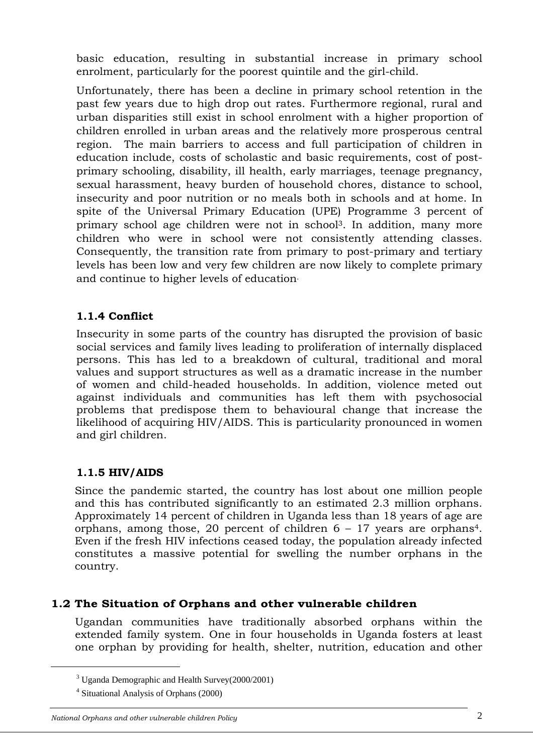basic education, resulting in substantial increase in primary school enrolment, particularly for the poorest quintile and the girl-child.

Unfortunately, there has been a decline in primary school retention in the past few years due to high drop out rates. Furthermore regional, rural and urban disparities still exist in school enrolment with a higher proportion of children enrolled in urban areas and the relatively more prosperous central region. The main barriers to access and full participation of children in education include, costs of scholastic and basic requirements, cost of postprimary schooling, disability, ill health, early marriages, teenage pregnancy, sexual harassment, heavy burden of household chores, distance to school, insecurity and poor nutrition or no meals both in schools and at home. In spite of the Universal Primary Education (UPE) Programme 3 percent of primary school age children were not in school3. In addition, many more children who were in school were not consistently attending classes. Consequently, the transition rate from primary to post-primary and tertiary levels has been low and very few children are now likely to complete primary and continue to higher levels of education.

# **1.1.4 Conflict**

Insecurity in some parts of the country has disrupted the provision of basic social services and family lives leading to proliferation of internally displaced persons. This has led to a breakdown of cultural, traditional and moral values and support structures as well as a dramatic increase in the number of women and child-headed households. In addition, violence meted out against individuals and communities has left them with psychosocial problems that predispose them to behavioural change that increase the likelihood of acquiring HIV/AIDS. This is particularity pronounced in women and girl children.

# **1.1.5 HIV/AIDS**

Since the pandemic started, the country has lost about one million people and this has contributed significantly to an estimated 2.3 million orphans. Approximately 14 percent of children in Uganda less than 18 years of age are orphans, among those, 20 percent of children  $6 - 17$  years are orphans<sup>4</sup>. Even if the fresh HIV infections ceased today, the population already infected constitutes a massive potential for swelling the number orphans in the country.

#### **1.2 The Situation of Orphans and other vulnerable children**

Ugandan communities have traditionally absorbed orphans within the extended family system. One in four households in Uganda fosters at least one orphan by providing for health, shelter, nutrition, education and other

#### *National Orphans and other vulnerable children Policy* 2

 <sup>3</sup>  $3 \text{ Uganda Demographic and Health Survey} (2000/2001)$ 

<sup>4</sup> Situational Analysis of Orphans (2000)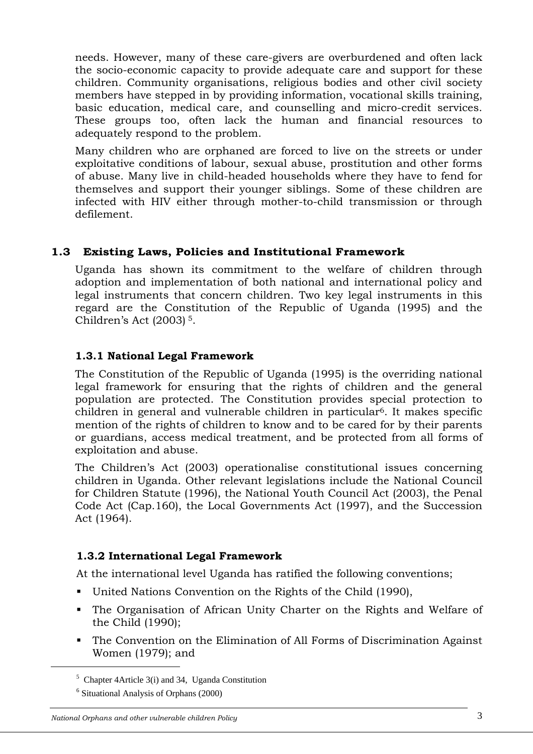needs. However, many of these care-givers are overburdened and often lack the socio-economic capacity to provide adequate care and support for these children. Community organisations, religious bodies and other civil society members have stepped in by providing information, vocational skills training, basic education, medical care, and counselling and micro-credit services. These groups too, often lack the human and financial resources to adequately respond to the problem.

Many children who are orphaned are forced to live on the streets or under exploitative conditions of labour, sexual abuse, prostitution and other forms of abuse. Many live in child-headed households where they have to fend for themselves and support their younger siblings. Some of these children are infected with HIV either through mother-to-child transmission or through defilement.

# **1.3 Existing Laws, Policies and Institutional Framework**

Uganda has shown its commitment to the welfare of children through adoption and implementation of both national and international policy and legal instruments that concern children. Two key legal instruments in this regard are the Constitution of the Republic of Uganda (1995) and the Children's Act (2003) 5.

#### **1.3.1 National Legal Framework**

The Constitution of the Republic of Uganda (1995) is the overriding national legal framework for ensuring that the rights of children and the general population are protected. The Constitution provides special protection to children in general and vulnerable children in particular6. It makes specific mention of the rights of children to know and to be cared for by their parents or guardians, access medical treatment, and be protected from all forms of exploitation and abuse.

The Children's Act (2003) operationalise constitutional issues concerning children in Uganda. Other relevant legislations include the National Council for Children Statute (1996), the National Youth Council Act (2003), the Penal Code Act (Cap.160), the Local Governments Act (1997), and the Succession Act (1964).

# **1.3.2 International Legal Framework**

At the international level Uganda has ratified the following conventions;

- United Nations Convention on the Rights of the Child (1990),
- The Organisation of African Unity Charter on the Rights and Welfare of the Child (1990);
- The Convention on the Elimination of All Forms of Discrimination Against Women (1979); and

 $\frac{1}{5}$  $5$  Chapter 4Article 3(i) and 34, Uganda Constitution

<sup>6</sup> Situational Analysis of Orphans (2000)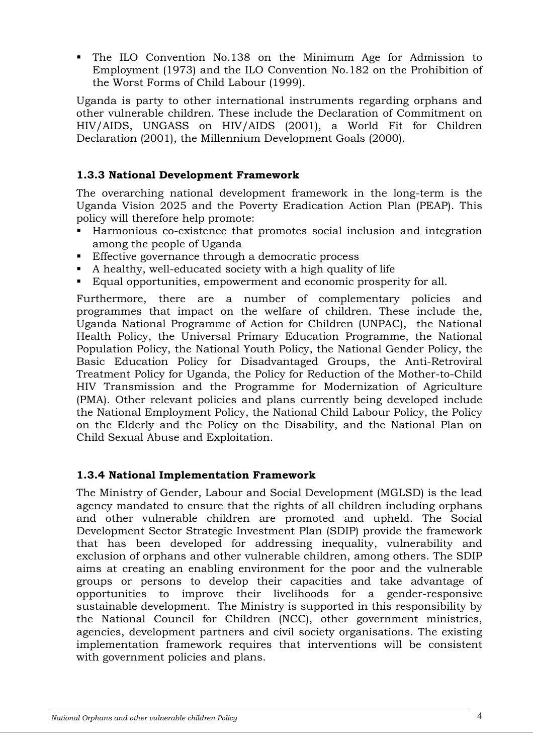The ILO Convention No.138 on the Minimum Age for Admission to Employment (1973) and the ILO Convention No.182 on the Prohibition of the Worst Forms of Child Labour (1999).

Uganda is party to other international instruments regarding orphans and other vulnerable children. These include the Declaration of Commitment on HIV/AIDS, UNGASS on HIV/AIDS (2001), a World Fit for Children Declaration (2001), the Millennium Development Goals (2000).

### **1.3.3 National Development Framework**

The overarching national development framework in the long-term is the Uganda Vision 2025 and the Poverty Eradication Action Plan (PEAP). This policy will therefore help promote:

- Harmonious co-existence that promotes social inclusion and integration among the people of Uganda
- Effective governance through a democratic process
- A healthy, well-educated society with a high quality of life
- Equal opportunities, empowerment and economic prosperity for all.

Furthermore, there are a number of complementary policies and programmes that impact on the welfare of children. These include the*,* Uganda National Programme of Action for Children (UNPAC), the National Health Policy, the Universal Primary Education Programme, the National Population Policy, the National Youth Policy, the National Gender Policy, the Basic Education Policy for Disadvantaged Groups, the Anti-Retroviral Treatment Policy for Uganda, the Policy for Reduction of the Mother-to-Child HIV Transmission and the Programme for Modernization of Agriculture (PMA). Other relevant policies and plans currently being developed include the National Employment Policy, the National Child Labour Policy, the Policy on the Elderly and the Policy on the Disability, and the National Plan on Child Sexual Abuse and Exploitation.

#### **1.3.4 National Implementation Framework**

The Ministry of Gender, Labour and Social Development (MGLSD) is the lead agency mandated to ensure that the rights of all children including orphans and other vulnerable children are promoted and upheld. The Social Development Sector Strategic Investment Plan (SDIP) provide the framework that has been developed for addressing inequality, vulnerability and exclusion of orphans and other vulnerable children, among others. The SDIP aims at creating an enabling environment for the poor and the vulnerable groups or persons to develop their capacities and take advantage of opportunities to improve their livelihoods for a gender-responsive sustainable development.The Ministry is supported in this responsibility by the National Council for Children (NCC), other government ministries, agencies, development partners and civil society organisations. The existing implementation framework requires that interventions will be consistent with government policies and plans.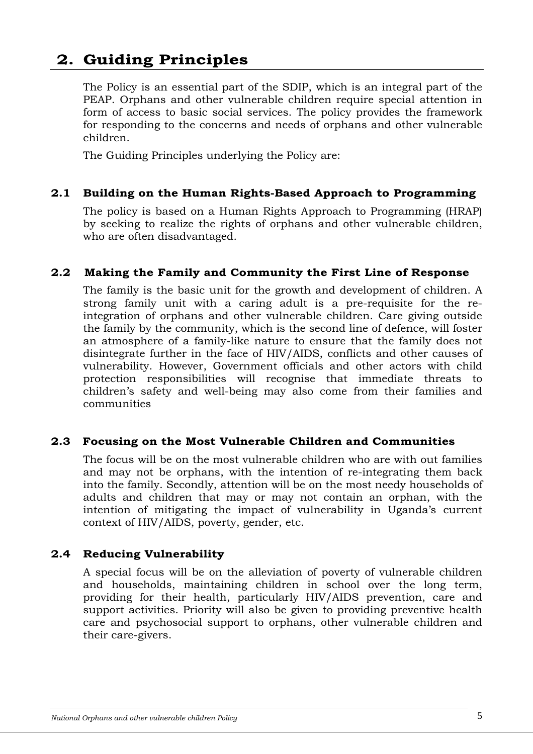# **2. Guiding Principles**

The Policy is an essential part of the SDIP, which is an integral part of the PEAP. Orphans and other vulnerable children require special attention in form of access to basic social services. The policy provides the framework for responding to the concerns and needs of orphans and other vulnerable children.

The Guiding Principles underlying the Policy are:

#### **2.1 Building on the Human Rights-Based Approach to Programming**

The policy is based on a Human Rights Approach to Programming (HRAP) by seeking to realize the rights of orphans and other vulnerable children, who are often disadvantaged.

#### **2.2 Making the Family and Community the First Line of Response**

The family is the basic unit for the growth and development of children. A strong family unit with a caring adult is a pre-requisite for the reintegration of orphans and other vulnerable children. Care giving outside the family by the community, which is the second line of defence, will foster an atmosphere of a family-like nature to ensure that the family does not disintegrate further in the face of HIV/AIDS, conflicts and other causes of vulnerability. However, Government officials and other actors with child protection responsibilities will recognise that immediate threats to children's safety and well-being may also come from their families and communities

#### **2.3 Focusing on the Most Vulnerable Children and Communities**

The focus will be on the most vulnerable children who are with out families and may not be orphans, with the intention of re-integrating them back into the family. Secondly, attention will be on the most needy households of adults and children that may or may not contain an orphan, with the intention of mitigating the impact of vulnerability in Uganda's current context of HIV/AIDS, poverty, gender, etc.

#### **2.4 Reducing Vulnerability**

A special focus will be on the alleviation of poverty of vulnerable children and households, maintaining children in school over the long term, providing for their health, particularly HIV/AIDS prevention, care and support activities. Priority will also be given to providing preventive health care and psychosocial support to orphans, other vulnerable children and their care-givers.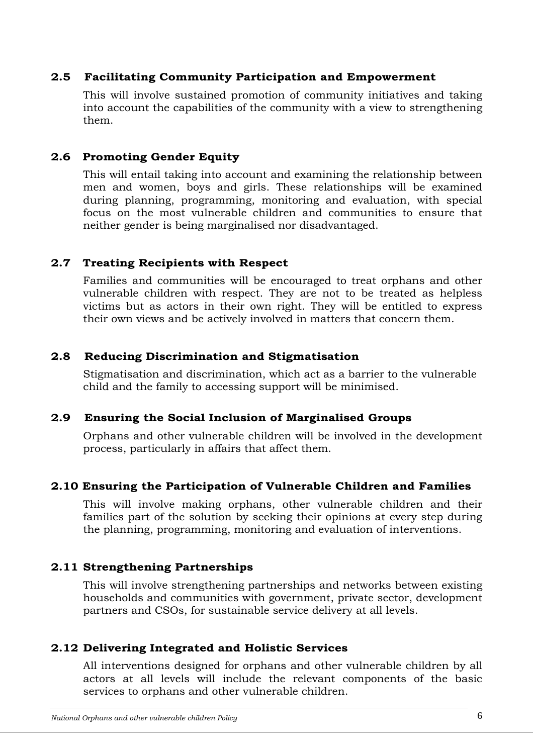#### **2.5 Facilitating Community Participation and Empowerment**

This will involve sustained promotion of community initiatives and taking into account the capabilities of the community with a view to strengthening them.

### **2.6 Promoting Gender Equity**

This will entail taking into account and examining the relationship between men and women, boys and girls. These relationships will be examined during planning, programming, monitoring and evaluation, with special focus on the most vulnerable children and communities to ensure that neither gender is being marginalised nor disadvantaged.

### **2.7 Treating Recipients with Respect**

Families and communities will be encouraged to treat orphans and other vulnerable children with respect. They are not to be treated as helpless victims but as actors in their own right. They will be entitled to express their own views and be actively involved in matters that concern them.

### **2.8 Reducing Discrimination and Stigmatisation**

Stigmatisation and discrimination, which act as a barrier to the vulnerable child and the family to accessing support will be minimised.

# **2.9 Ensuring the Social Inclusion of Marginalised Groups**

Orphans and other vulnerable children will be involved in the development process, particularly in affairs that affect them.

#### **2.10 Ensuring the Participation of Vulnerable Children and Families**

This will involve making orphans, other vulnerable children and their families part of the solution by seeking their opinions at every step during the planning, programming, monitoring and evaluation of interventions.

# **2.11 Strengthening Partnerships**

This will involve strengthening partnerships and networks between existing households and communities with government, private sector, development partners and CSOs, for sustainable service delivery at all levels.

# **2.12 Delivering Integrated and Holistic Services**

All interventions designed for orphans and other vulnerable children by all actors at all levels will include the relevant components of the basic services to orphans and other vulnerable children.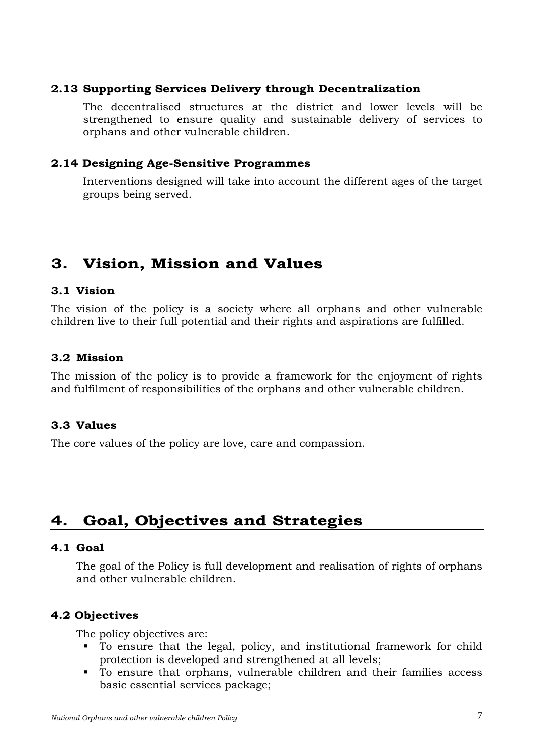#### **2.13 Supporting Services Delivery through Decentralization**

The decentralised structures at the district and lower levels will be strengthened to ensure quality and sustainable delivery of services to orphans and other vulnerable children.

#### **2.14 Designing Age-Sensitive Programmes**

Interventions designed will take into account the different ages of the target groups being served.

# **3. Vision, Mission and Values**

#### **3.1 Vision**

The vision of the policy is a society where all orphans and other vulnerable children live to their full potential and their rights and aspirations are fulfilled.

#### **3.2 Mission**

The mission of the policy is to provide a framework for the enjoyment of rights and fulfilment of responsibilities of the orphans and other vulnerable children.

# **3.3 Values**

The core values of the policy are love, care and compassion.

# **4. Goal, Objectives and Strategies**

#### **4.1 Goal**

The goal of the Policy is full development and realisation of rights of orphans and other vulnerable children.

#### **4.2 Objectives**

The policy objectives are:

- To ensure that the legal, policy, and institutional framework for child protection is developed and strengthened at all levels;
- To ensure that orphans, vulnerable children and their families access basic essential services package;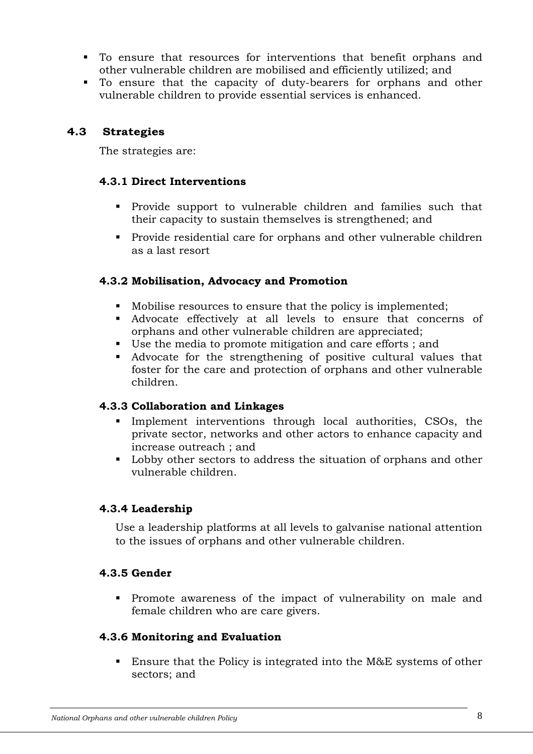- To ensure that resources for interventions that benefit orphans and other vulnerable children are mobilised and efficiently utilized; and
- To ensure that the capacity of duty-bearers for orphans and other vulnerable children to provide essential services is enhanced.

#### **4.3 Strategies**

The strategies are:

### **4.3.1 Direct Interventions**

- Provide support to vulnerable children and families such that their capacity to sustain themselves is strengthened; and
- Provide residential care for orphans and other vulnerable children as a last resort

### **4.3.2 Mobilisation, Advocacy and Promotion**

- Mobilise resources to ensure that the policy is implemented;
- Advocate effectively at all levels to ensure that concerns of orphans and other vulnerable children are appreciated;
- Use the media to promote mitigation and care efforts ; and
- Advocate for the strengthening of positive cultural values that foster for the care and protection of orphans and other vulnerable children.

#### **4.3.3 Collaboration and Linkages**

- Implement interventions through local authorities, CSOs, the private sector, networks and other actors to enhance capacity and increase outreach ; and
- Lobby other sectors to address the situation of orphans and other vulnerable children.

# **4.3.4 Leadership**

Use a leadership platforms at all levels to galvanise national attention to the issues of orphans and other vulnerable children.

#### **4.3.5 Gender**

 Promote awareness of the impact of vulnerability on male and female children who are care givers.

#### **4.3.6 Monitoring and Evaluation**

■ Ensure that the Policy is integrated into the M&E systems of other sectors; and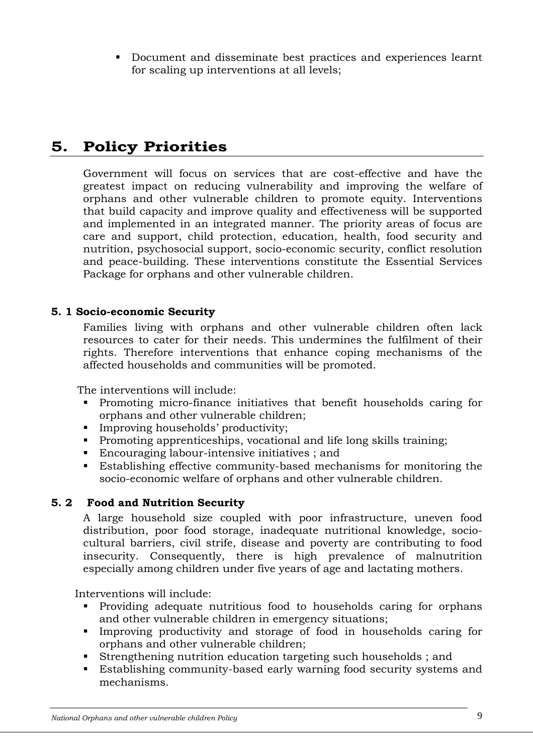Document and disseminate best practices and experiences learnt for scaling up interventions at all levels;

# **5. Policy Priorities**

Government will focus on services that are cost-effective and have the greatest impact on reducing vulnerability and improving the welfare of orphans and other vulnerable children to promote equity. Interventions that build capacity and improve quality and effectiveness will be supported and implemented in an integrated manner. The priority areas of focus are care and support, child protection, education, health, food security and nutrition, psychosocial support, socio-economic security, conflict resolution and peace-building. These interventions constitute the Essential Services Package for orphans and other vulnerable children.

#### **5. 1 Socio-economic Security**

Families living with orphans and other vulnerable children often lack resources to cater for their needs. This undermines the fulfilment of their rights. Therefore interventions that enhance coping mechanisms of the affected households and communities will be promoted.

The interventions will include:

- Promoting micro-finance initiatives that benefit households caring for orphans and other vulnerable children;
- **Improving households' productivity;**
- Promoting apprenticeships, vocational and life long skills training;
- Encouraging labour-intensive initiatives ; and
- Establishing effective community-based mechanisms for monitoring the socio-economic welfare of orphans and other vulnerable children.

#### **5. 2 Food and Nutrition Security**

A large household size coupled with poor infrastructure, uneven food distribution, poor food storage, inadequate nutritional knowledge, sociocultural barriers, civil strife, disease and poverty are contributing to food insecurity. Consequently, there is high prevalence of malnutrition especially among children under five years of age and lactating mothers.

Interventions will include:

- Providing adequate nutritious food to households caring for orphans and other vulnerable children in emergency situations;
- Improving productivity and storage of food in households caring for orphans and other vulnerable children;
- Strengthening nutrition education targeting such households ; and
- Establishing community-based early warning food security systems and mechanisms.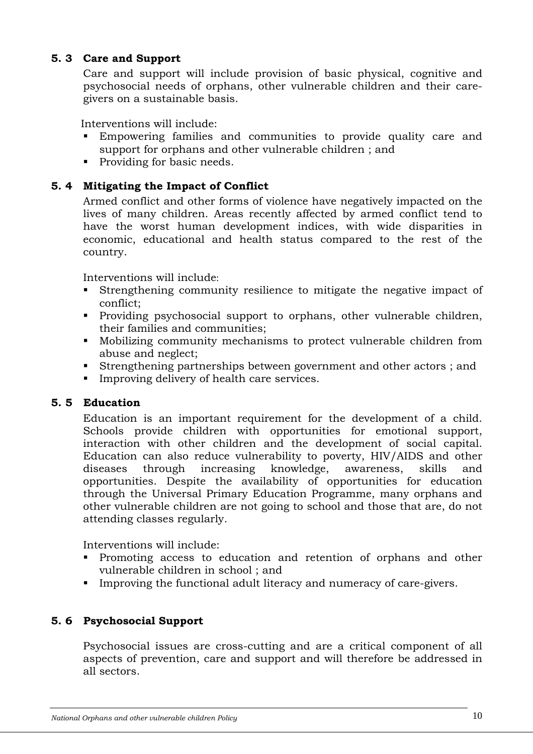#### **5. 3 Care and Support**

Care and support will include provision of basic physical, cognitive and psychosocial needs of orphans, other vulnerable children and their caregivers on a sustainable basis.

Interventions will include:

- Empowering families and communities to provide quality care and support for orphans and other vulnerable children ; and
- Providing for basic needs.

#### **5. 4 Mitigating the Impact of Conflict**

Armed conflict and other forms of violence have negatively impacted on the lives of many children. Areas recently affected by armed conflict tend to have the worst human development indices, with wide disparities in economic, educational and health status compared to the rest of the country.

Interventions will include:

- Strengthening community resilience to mitigate the negative impact of conflict;
- Providing psychosocial support to orphans, other vulnerable children, their families and communities;
- Mobilizing community mechanisms to protect vulnerable children from abuse and neglect;
- Strengthening partnerships between government and other actors ; and
- Improving delivery of health care services.

#### **5. 5 Education**

Education is an important requirement for the development of a child. Schools provide children with opportunities for emotional support, interaction with other children and the development of social capital. Education can also reduce vulnerability to poverty, HIV/AIDS and other diseases through increasing knowledge, awareness, skills and opportunities. Despite the availability of opportunities for education through the Universal Primary Education Programme, many orphans and other vulnerable children are not going to school and those that are, do not attending classes regularly.

Interventions will include:

- Promoting access to education and retention of orphans and other vulnerable children in school ; and
- Improving the functional adult literacy and numeracy of care-givers.

#### **5. 6 Psychosocial Support**

Psychosocial issues are cross-cutting and are a critical component of all aspects of prevention, care and support and will therefore be addressed in all sectors.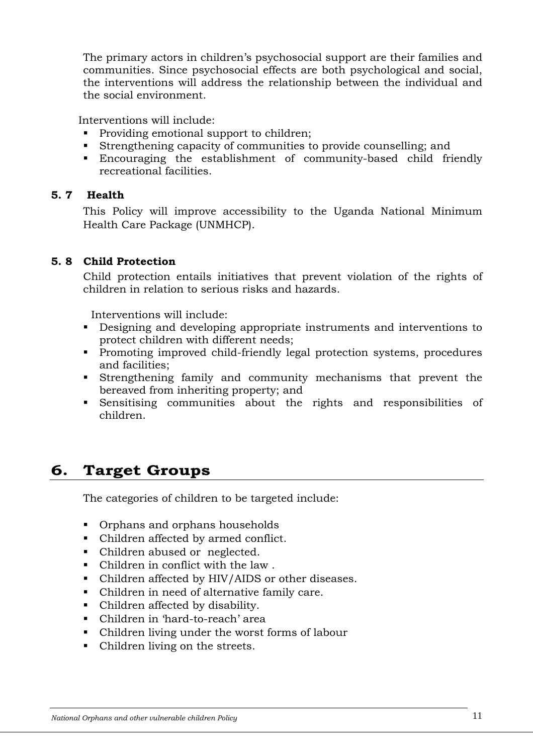The primary actors in children's psychosocial support are their families and communities. Since psychosocial effects are both psychological and social, the interventions will address the relationship between the individual and the social environment.

Interventions will include:

- Providing emotional support to children;
- Strengthening capacity of communities to provide counselling; and
- Encouraging the establishment of community-based child friendly recreational facilities.

#### **5. 7 Health**

This Policy will improve accessibility to the Uganda National Minimum Health Care Package (UNMHCP).

#### **5. 8 Child Protection**

Child protection entails initiatives that prevent violation of the rights of children in relation to serious risks and hazards.

Interventions will include:

- Designing and developing appropriate instruments and interventions to protect children with different needs;
- Promoting improved child-friendly legal protection systems, procedures and facilities;
- Strengthening family and community mechanisms that prevent the bereaved from inheriting property; and
- Sensitising communities about the rights and responsibilities of children.

# **6. Target Groups**

The categories of children to be targeted include:

- **•** Orphans and orphans households
- Children affected by armed conflict.
- Children abused or neglected.
- Children in conflict with the law .
- Children affected by HIV/AIDS or other diseases.
- Children in need of alternative family care.
- Children affected by disability.
- Children in 'hard-to-reach' area
- Children living under the worst forms of labour
- Children living on the streets.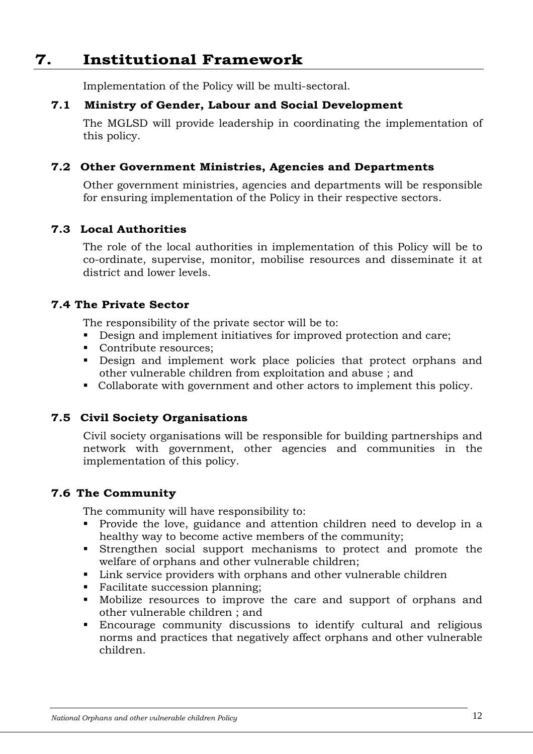# **7. Institutional Framework**

Implementation of the Policy will be multi-sectoral.

#### **7.1 Ministry of Gender, Labour and Social Development**

The MGLSD will provide leadership in coordinating the implementation of this policy.

#### **7.2 Other Government Ministries, Agencies and Departments**

Other government ministries, agencies and departments will be responsible for ensuring implementation of the Policy in their respective sectors.

#### **7.3 Local Authorities**

The role of the local authorities in implementation of this Policy will be to co-ordinate, supervise, monitor, mobilise resources and disseminate it at district and lower levels.

#### **7.4 The Private Sector**

The responsibility of the private sector will be to:

- Design and implement initiatives for improved protection and care;
- Contribute resources;
- Design and implement work place policies that protect orphans and other vulnerable children from exploitation and abuse ; and
- Collaborate with government and other actors to implement this policy.

#### **7.5 Civil Society Organisations**

Civil society organisations will be responsible for building partnerships and network with government, other agencies and communities in the implementation of this policy.

#### **7.6 The Community**

The community will have responsibility to:

- Provide the love, guidance and attention children need to develop in a healthy way to become active members of the community;
- Strengthen social support mechanisms to protect and promote the welfare of orphans and other vulnerable children;
- Link service providers with orphans and other vulnerable children
- Facilitate succession planning;
- Mobilize resources to improve the care and support of orphans and other vulnerable children ; and
- Encourage community discussions to identify cultural and religious norms and practices that negatively affect orphans and other vulnerable children.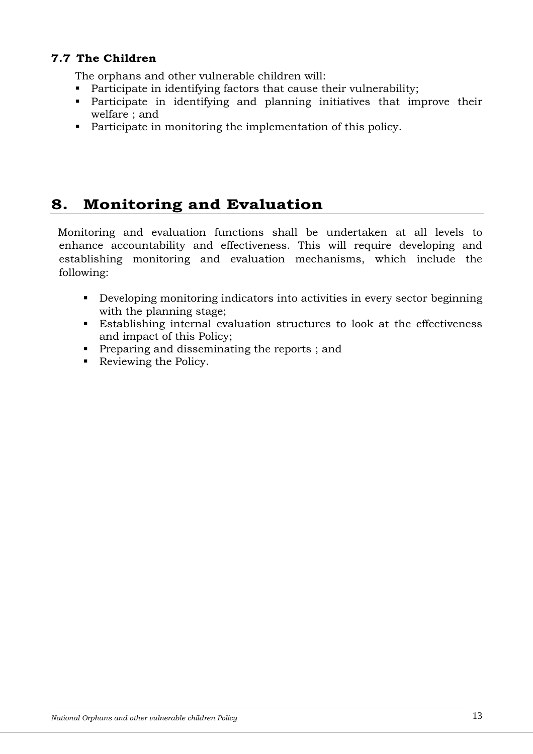### **7.7 The Children**

The orphans and other vulnerable children will:

- **Participate in identifying factors that cause their vulnerability;**
- Participate in identifying and planning initiatives that improve their welfare ; and
- **Participate in monitoring the implementation of this policy.**

# **8. Monitoring and Evaluation**

 Monitoring and evaluation functions shall be undertaken at all levels to enhance accountability and effectiveness. This will require developing and establishing monitoring and evaluation mechanisms, which include the following:

- Developing monitoring indicators into activities in every sector beginning with the planning stage;
- Establishing internal evaluation structures to look at the effectiveness and impact of this Policy;
- **Preparing and disseminating the reports ; and**
- Reviewing the Policy.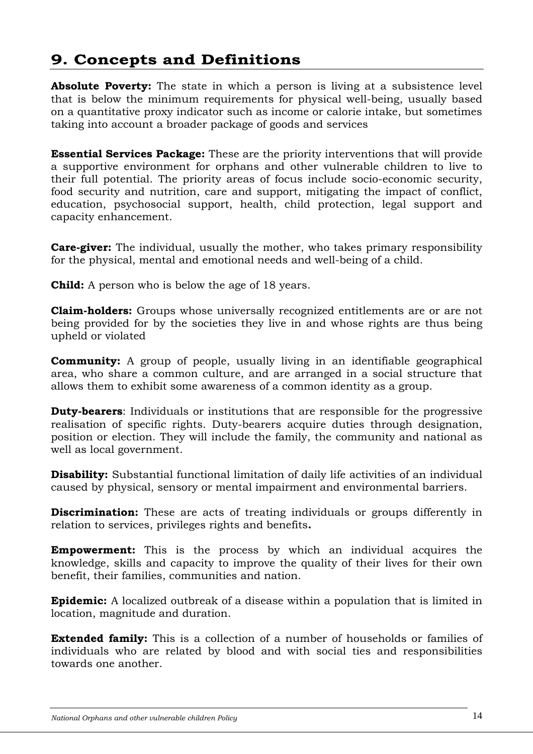# **9. Concepts and Definitions**

**Absolute Poverty:** The state in which a person is living at a subsistence level that is below the minimum requirements for physical well-being, usually based on a quantitative proxy indicator such as income or calorie intake, but sometimes taking into account a broader package of goods and services

**Essential Services Package:** These are the priority interventions that will provide a supportive environment for orphans and other vulnerable children to live to their full potential. The priority areas of focus include socio-economic security, food security and nutrition, care and support, mitigating the impact of conflict, education, psychosocial support, health, child protection, legal support and capacity enhancement.

**Care-giver:** The individual, usually the mother, who takes primary responsibility for the physical, mental and emotional needs and well-being of a child.

**Child:** A person who is below the age of 18 years.

**Claim-holders:** Groups whose universally recognized entitlements are or are not being provided for by the societies they live in and whose rights are thus being upheld or violated

**Community:** A group of people, usually living in an identifiable geographical area, who share a common culture, and are arranged in a social structure that allows them to exhibit some awareness of a common identity as a group.

**Duty-bearers**: Individuals or institutions that are responsible for the progressive realisation of specific rights. Duty-bearers acquire duties through designation, position or election. They will include the family, the community and national as well as local government.

**Disability:** Substantial functional limitation of daily life activities of an individual caused by physical, sensory or mental impairment and environmental barriers.

**Discrimination:** These are acts of treating individuals or groups differently in relation to services, privileges rights and benefits**.** 

**Empowerment:** This is the process by which an individual acquires the knowledge, skills and capacity to improve the quality of their lives for their own benefit, their families, communities and nation.

**Epidemic:** A localized outbreak of a disease within a population that is limited in location, magnitude and duration.

**Extended family:** This is a collection of a number of households or families of individuals who are related by blood and with social ties and responsibilities towards one another.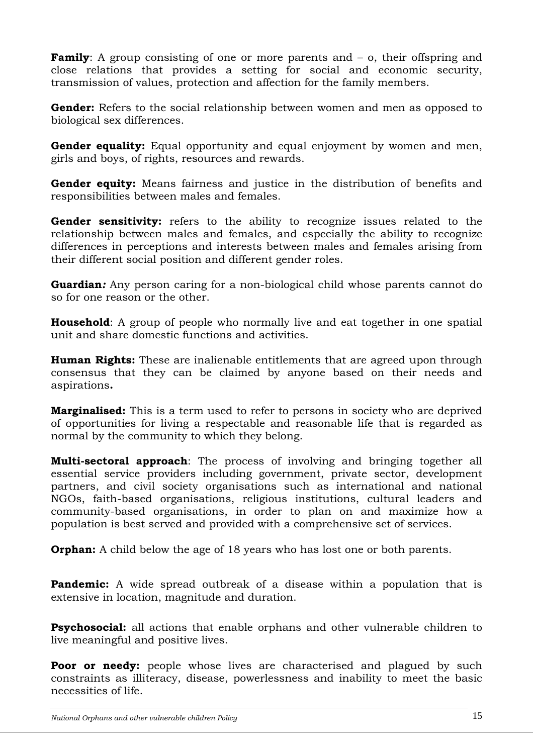**Family:** A group consisting of one or more parents and  $-$  o, their offspring and close relations that provides a setting for social and economic security, transmission of values, protection and affection for the family members.

**Gender:** Refers to the social relationship between women and men as opposed to biological sex differences.

**Gender equality:** Equal opportunity and equal enjoyment by women and men, girls and boys, of rights, resources and rewards.

**Gender equity:** Means fairness and justice in the distribution of benefits and responsibilities between males and females.

**Gender sensitivity:** refers to the ability to recognize issues related to the relationship between males and females, and especially the ability to recognize differences in perceptions and interests between males and females arising from their different social position and different gender roles.

**Guardian***:* Any person caring for a non-biological child whose parents cannot do so for one reason or the other.

**Household**: A group of people who normally live and eat together in one spatial unit and share domestic functions and activities.

**Human Rights:** These are inalienable entitlements that are agreed upon through consensus that they can be claimed by anyone based on their needs and aspirations**.** 

**Marginalised:** This is a term used to refer to persons in society who are deprived of opportunities for living a respectable and reasonable life that is regarded as normal by the community to which they belong.

**Multi-sectoral approach**: The process of involving and bringing together all essential service providers including government, private sector, development partners, and civil society organisations such as international and national NGOs, faith-based organisations, religious institutions, cultural leaders and community-based organisations, in order to plan on and maximize how a population is best served and provided with a comprehensive set of services.

**Orphan:** A child below the age of 18 years who has lost one or both parents.

**Pandemic:** A wide spread outbreak of a disease within a population that is extensive in location, magnitude and duration.

**Psychosocial:** all actions that enable orphans and other vulnerable children to live meaningful and positive lives.

**Poor or needy:** people whose lives are characterised and plagued by such constraints as illiteracy, disease, powerlessness and inability to meet the basic necessities of life.